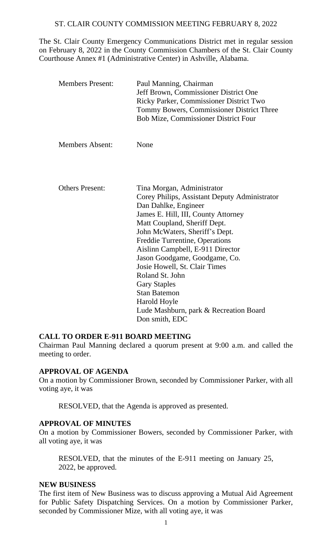## ST. CLAIR COUNTY COMMISSION MEETING FEBRUARY 8, 2022

The St. Clair County Emergency Communications District met in regular session on February 8, 2022 in the County Commission Chambers of the St. Clair County Courthouse Annex #1 (Administrative Center) in Ashville, Alabama.

| <b>Members Present:</b> | Paul Manning, Chairman<br>Jeff Brown, Commissioner District One<br>Ricky Parker, Commissioner District Two<br>Tommy Bowers, Commissioner District Three<br><b>Bob Mize, Commissioner District Four</b> |
|-------------------------|--------------------------------------------------------------------------------------------------------------------------------------------------------------------------------------------------------|
| <b>Members Absent:</b>  | None                                                                                                                                                                                                   |
|                         |                                                                                                                                                                                                        |
| <b>Others Present:</b>  | Tina Morgan, Administrator                                                                                                                                                                             |
|                         | Corey Philips, Assistant Deputy Administrator                                                                                                                                                          |
|                         | Dan Dahlke, Engineer                                                                                                                                                                                   |
|                         | James E. Hill, III, County Attorney                                                                                                                                                                    |
|                         | Matt Coupland, Sheriff Dept.                                                                                                                                                                           |
|                         | John McWaters, Sheriff's Dept.                                                                                                                                                                         |
|                         | Freddie Turrentine, Operations                                                                                                                                                                         |
|                         | Aislinn Campbell, E-911 Director                                                                                                                                                                       |
|                         | Jason Goodgame, Goodgame, Co.                                                                                                                                                                          |
|                         | Josie Howell, St. Clair Times                                                                                                                                                                          |
|                         | Roland St. John                                                                                                                                                                                        |
|                         | <b>Gary Staples</b>                                                                                                                                                                                    |
|                         | <b>Stan Batemon</b>                                                                                                                                                                                    |
|                         | Harold Hoyle                                                                                                                                                                                           |
|                         | Lude Mashburn, park & Recreation Board                                                                                                                                                                 |
|                         | Don smith, EDC                                                                                                                                                                                         |

## **CALL TO ORDER E-911 BOARD MEETING**

Chairman Paul Manning declared a quorum present at 9:00 a.m. and called the meeting to order.

### **APPROVAL OF AGENDA**

On a motion by Commissioner Brown, seconded by Commissioner Parker, with all voting aye, it was

RESOLVED, that the Agenda is approved as presented.

# **APPROVAL OF MINUTES**

On a motion by Commissioner Bowers, seconded by Commissioner Parker, with all voting aye, it was

RESOLVED, that the minutes of the E-911 meeting on January 25, 2022, be approved.

#### **NEW BUSINESS**

The first item of New Business was to discuss approving a Mutual Aid Agreement for Public Safety Dispatching Services. On a motion by Commissioner Parker, seconded by Commissioner Mize, with all voting aye, it was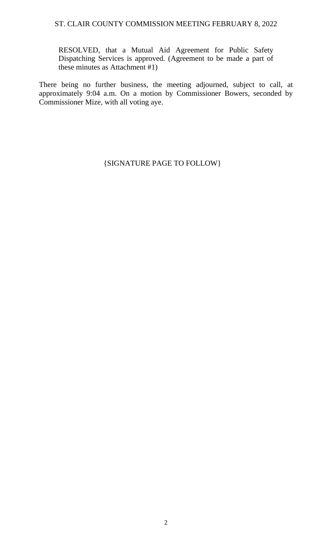### ST. CLAIR COUNTY COMMISSION MEETING FEBRUARY 8, 2022

RESOLVED, that a Mutual Aid Agreement for Public Safety Dispatching Services is approved. (Agreement to be made a part of these minutes as Attachment #1)

There being no further business, the meeting adjourned, subject to call, at approximately 9:04 a.m. On a motion by Commissioner Bowers, seconded by Commissioner Mize, with all voting aye.

{SIGNATURE PAGE TO FOLLOW}